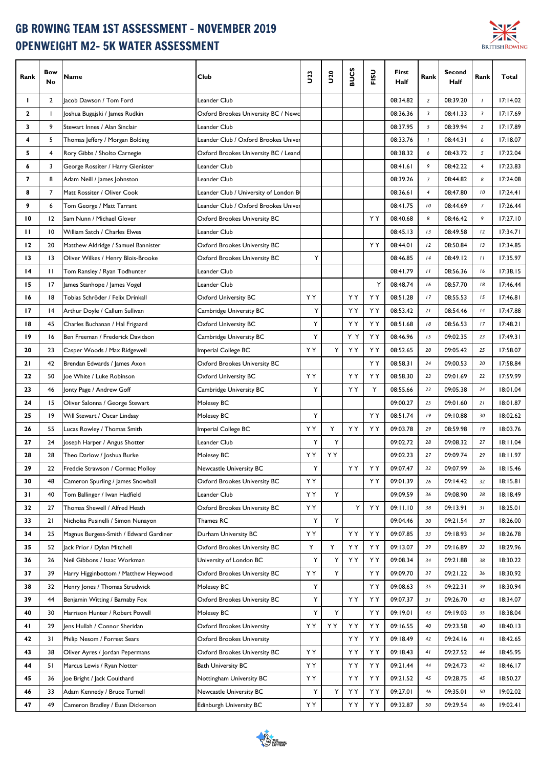## GB ROWING TEAM 1ST ASSESSMENT - NOVEMBER 2019 OPENWEIGHT M2- 5K WATER ASSESSMENT



| Rank | Bow<br>No       | Name                                   | Club                                  | <b>J23</b> | $\frac{20}{2}$ | n<br>io<br>Su | ູລ<br>ᇎ | First<br>Half | Rank                    | <b>Second</b><br>Half | Rank           | Total    |
|------|-----------------|----------------------------------------|---------------------------------------|------------|----------------|---------------|---------|---------------|-------------------------|-----------------------|----------------|----------|
| L    | $\overline{2}$  | Jacob Dawson / Tom Ford                | Leander Club                          |            |                |               |         | 08:34.82      | $\overline{2}$          | 08:39.20              | $\overline{I}$ | 17:14.02 |
| 2    | $\mathbf{I}$    | Joshua Bugajski / James Rudkin         | Oxford Brookes University BC / Newc   |            |                |               |         | 08:36.36      | $\overline{\mathbf{3}}$ | 08:41.33              | 3              | 17:17.69 |
| 3    | 9               | Stewart Innes / Alan Sinclair          | Leander Club                          |            |                |               |         | 08:37.95      | $\sqrt{5}$              | 08:39.94              | $\overline{2}$ | 17:17.89 |
| 4    | 5               | Thomas Jeffery / Morgan Bolding        | Leander Club / Oxford Brookes Univer  |            |                |               |         | 08:33.76      | $\overline{1}$          | 08:44.31              | 6              | 17:18.07 |
| 5    | 4               | Rory Gibbs / Sholto Carnegie           | Oxford Brookes University BC / Leand  |            |                |               |         | 08:38.32      | 6                       | 08:43.72              | 5              | 17:22.04 |
| 6    | 3               | George Rossiter / Harry Glenister      | Leander Club                          |            |                |               |         | 08:41.61      | 9                       | 08:42.22              | $\overline{4}$ | 17:23.83 |
| 7    | 8               | Adam Neill / James Johnston            | Leander Club                          |            |                |               |         | 08:39.26      | $\overline{7}$          | 08:44.82              | 8              | 17:24.08 |
| 8    | 7               | Matt Rossiter / Oliver Cook            | Leander Club / University of London B |            |                |               |         | 08:36.61      | $\overline{4}$          | 08:47.80              | 10             | 17:24.41 |
| 9    | 6               | Tom George / Matt Tarrant              | Leander Club / Oxford Brookes Univer  |            |                |               |         | 08:41.75      | 10                      | 08:44.69              | $\overline{7}$ | 17:26.44 |
| 10   | 12              | Sam Nunn / Michael Glover              | Oxford Brookes University BC          |            |                |               | ΥY      | 08:40.68      | 8                       | 08:46.42              | 9              | 17:27.10 |
| п    | $\overline{10}$ | William Satch / Charles Elwes          | Leander Club                          |            |                |               |         | 08:45.13      | 13                      | 08:49.58              | 12             | 17:34.71 |
| 12   | 20              | Matthew Aldridge / Samuel Bannister    | Oxford Brookes University BC          |            |                |               | ΥY      | 08:44.01      | 12                      | 08:50.84              | 13             | 17:34.85 |
| 13   | 3               | Oliver Wilkes / Henry Blois-Brooke     | Oxford Brookes University BC          | Y          |                |               |         | 08:46.85      | 4                       | 08:49.12              | 11             | 17:35.97 |
| 14   | $\mathbf{H}$    | Tom Ransley / Ryan Todhunter           | Leander Club                          |            |                |               |         | 08:41.79      | $\frac{1}{2}$           | 08:56.36              | 16             | 17:38.15 |
| 15   | 17              | James Stanhope / James Vogel           | Leander Club                          |            |                |               | Υ       | 08:48.74      | 16                      | 08:57.70              | 18             | 17:46.44 |
| 16   | 18              | Tobias Schröder / Felix Drinkall       | <b>Oxford University BC</b>           | ΥY         |                | ΥY            | ΥY      | 08:51.28      | 17                      | 08:55.53              | 15             | 17:46.81 |
| 17   | 4               | Arthur Doyle / Callum Sullivan         | Cambridge University BC               | Υ          |                | YΥ            | ΥY      | 08:53.42      | 21                      | 08:54.46              | 14             | 17:47.88 |
| 18   | 45              | Charles Buchanan / Hal Frigaard        | Oxford University BC                  | Y          |                | ΥY            | ΥY      | 08:51.68      | 18                      | 08:56.53              | 17             | 17:48.21 |
| 19   | 16              | Ben Freeman / Frederick Davidson       | Cambridge University BC               | Υ          |                | YY            | ΥY      | 08:46.96      | 15                      | 09:02.35              | 23             | 17:49.31 |
| 20   | 23              | Casper Woods / Max Ridgewell           | Imperial College BC                   | ΥY         | Y              | ΥY            | ΥY      | 08:52.65      | 20                      | 09:05.42              | 25             | 17:58.07 |
| 21   | 42              | Brendan Edwards / James Axon           | Oxford Brookes University BC          |            |                |               | ΥY      | 08:58.31      | 24                      | 09:00.53              | 20             | 17:58.84 |
| 22   | 50              | Joe White / Luke Robinson              | Oxford University BC                  | YY         |                | ΥY            | ΥY      | 08:58.30      | 23                      | 09:01.69              | 22             | 17:59.99 |
| 23   | 46              | Jonty Page / Andrew Goff               | Cambridge University BC               | Υ          |                | ΥY            | Υ       | 08:55.66      | 22                      | 09:05.38              | 24             | 18:01.04 |
| 24   | 15              | Oliver Salonna / George Stewart        | Molesey BC                            |            |                |               |         | 09:00.27      | 25                      | 09:01.60              | 21             | 18:01.87 |
| 25   | 19              | Will Stewart / Oscar Lindsay           | Molesey BC                            | Υ          |                |               | ΥY      | 08:51.74      | 19                      | 09:10.88              | 30             | 18:02.62 |
| 26   | 55              | Lucas Rowley / Thomas Smith            | Imperial College BC                   | ΥY         | Y              | YY            | ΥY      | 09:03.78      | 29                      | 08:59.98              | 19             | 18:03.76 |
| 27   | 24              | Joseph Harper / Angus Shotter          | Leander Club                          | Υ          | Y              |               |         | 09:02.72      | 28                      | 09:08.32              | 27             | 18:11.04 |
| 28   | 28              | Theo Darlow / Joshua Burke             | Molesey BC                            | ΥY         | ΥY             |               |         | 09:02.23      | 27                      | 09:09.74              | 29             | 18:11.97 |
| 29   | 22              | Freddie Strawson / Cormac Molloy       | Newcastle University BC               | Υ          |                | ΥY            | YY      | 09:07.47      | 32                      | 09:07.99              | 26             | 18:15.46 |
| 30   | 48              | Cameron Spurling / James Snowball      | Oxford Brookes University BC          | YY         |                |               | ΥY      | 09:01.39      | 26                      | 09:14.42              | 32             | 18:15.81 |
| 31   | 40              | Tom Ballinger / Iwan Hadfield          | Leander Club                          | ΥY         | Υ              |               |         | 09:09.59      | 36                      | 09:08.90              | 28             | 18:18.49 |
| 32   | 27              | Thomas Shewell / Alfred Heath          | Oxford Brookes University BC          | ΥY         |                | Υ             | ΥY      | 09:11.10      | 38                      | 09:13.91              | 31             | 18:25.01 |
| 33   | 21              | Nicholas Pusinelli / Simon Nunayon     | Thames RC                             | Υ          | Y              |               |         | 09:04.46      | 30                      | 09:21.54              | 37             | 18:26.00 |
| 34   | 25              | Magnus Burgess-Smith / Edward Gardiner | Durham University BC                  | YΥ         |                | ΥY            | ΥY      | 09:07.85      | 33                      | 09:18.93              | 34             | 18:26.78 |
| 35   | 52              | Jack Prior / Dylan Mitchell            | Oxford Brookes University BC          | Y          | Υ              | YΥ            | ΥY      | 09:13.07      | 39                      | 09:16.89              | 33             | 18:29.96 |
| 36   | 26              | Neil Gibbons / Isaac Workman           | University of London BC               | Υ          | Υ              | ΥY            | ΥY      | 09:08.34      | 34                      | 09:21.88              | 38             | 18:30.22 |
| 37   | 39              | Harry Higginbottom / Matthew Heywood   | Oxford Brookes University BC          | ΥY         | Y              |               | ΥY      | 09:09.70      | 37                      | 09:21.22              | 36             | 18:30.92 |
| 38   | 32              | Henry Jones / Thomas Strudwick         | Molesey BC                            | Y          |                |               | ΥY      | 09:08.63      | 35                      | 09:22.31              | 39             | 18:30.94 |
| 39   | 44              | Benjamin Witting / Barnaby Fox         | Oxford Brookes University BC          | Y          |                | YΥ            | ΥY      | 09:07.37      | 31                      | 09:26.70              | 43             | 18:34.07 |
| 40   | 30              | Harrison Hunter / Robert Powell        | Molesey BC                            | Υ          | Y              |               | ΥY      | 09:19.01      | 43                      | 09:19.03              | 35             | 18:38.04 |
| 41   | 29              | Jens Hullah / Connor Sheridan          | <b>Oxford Brookes University</b>      | ΥY         | YY             | YΥ            | ΥY      | 09:16.55      | 40                      | 09:23.58              | 40             | 18:40.13 |
| 42   | 31              | Philip Nesom / Forrest Sears           | Oxford Brookes University             |            |                | ΥY            | ΥY      | 09:18.49      | 42                      | 09:24.16              | 41             | 18:42.65 |
| 43   | 38              | Oliver Ayres / Jordan Pepermans        | Oxford Brookes University BC          | ΥY         |                | YΥ            | ΥY      | 09:18.43      | 41                      | 09:27.52              | 44             | 18:45.95 |
| 44   | 51              | Marcus Lewis / Ryan Notter             | <b>Bath University BC</b>             | YΥ         |                | YΥ            | ΥY      | 09:21.44      | 44                      | 09:24.73              | 42             | 18:46.17 |
| 45   | 36              | Joe Bright / Jack Coulthard            | Nottingham University BC              | ΥY         |                | YΥ            | ΥY      | 09:21.52      | 45                      | 09:28.75              | 45             | 18:50.27 |
| 46   | 33              | Adam Kennedy / Bruce Turnell           | Newcastle University BC               | Υ          | Y              | YY            | ΥY      | 09:27.01      | 46                      | 09:35.01              | 50             | 19:02.02 |
| 47   | 49              | Cameron Bradley / Euan Dickerson       | Edinburgh University BC               | ΥY         |                | ΥY            | ΥY      | 09:32.87      | 50                      | 09:29.54              | 46             | 19:02.41 |